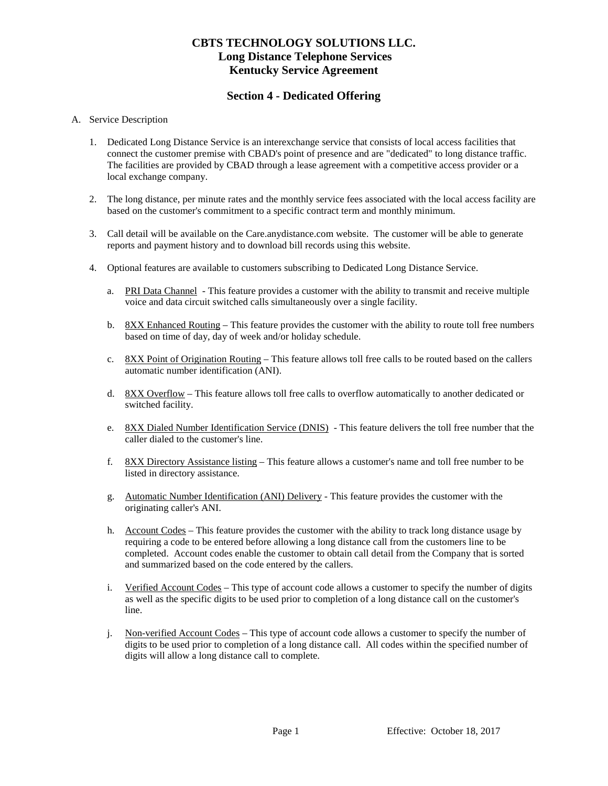# **CBTS TECHNOLOGY SOLUTIONS LLC. Long Distance Telephone Services Kentucky Service Agreement**

## **Section 4 - Dedicated Offering**

#### A. Service Description

- 1. Dedicated Long Distance Service is an interexchange service that consists of local access facilities that connect the customer premise with CBAD's point of presence and are "dedicated" to long distance traffic. The facilities are provided by CBAD through a lease agreement with a competitive access provider or a local exchange company.
- 2. The long distance, per minute rates and the monthly service fees associated with the local access facility are based on the customer's commitment to a specific contract term and monthly minimum.
- 3. Call detail will be available on the Care.anydistance.com website. The customer will be able to generate reports and payment history and to download bill records using this website.
- 4. Optional features are available to customers subscribing to Dedicated Long Distance Service.
	- a. PRI Data Channel This feature provides a customer with the ability to transmit and receive multiple voice and data circuit switched calls simultaneously over a single facility.
	- b. 8XX Enhanced Routing This feature provides the customer with the ability to route toll free numbers based on time of day, day of week and/or holiday schedule.
	- c. 8XX Point of Origination Routing This feature allows toll free calls to be routed based on the callers automatic number identification (ANI).
	- d. 8XX Overflow This feature allows toll free calls to overflow automatically to another dedicated or switched facility.
	- e. 8XX Dialed Number Identification Service (DNIS) This feature delivers the toll free number that the caller dialed to the customer's line.
	- f. 8XX Directory Assistance listing This feature allows a customer's name and toll free number to be listed in directory assistance.
	- g. Automatic Number Identification (ANI) Delivery This feature provides the customer with the originating caller's ANI.
	- h. Account Codes This feature provides the customer with the ability to track long distance usage by requiring a code to be entered before allowing a long distance call from the customers line to be completed. Account codes enable the customer to obtain call detail from the Company that is sorted and summarized based on the code entered by the callers.
	- i. Verified Account Codes This type of account code allows a customer to specify the number of digits as well as the specific digits to be used prior to completion of a long distance call on the customer's line.
	- j. Non-verified Account Codes This type of account code allows a customer to specify the number of digits to be used prior to completion of a long distance call. All codes within the specified number of digits will allow a long distance call to complete.